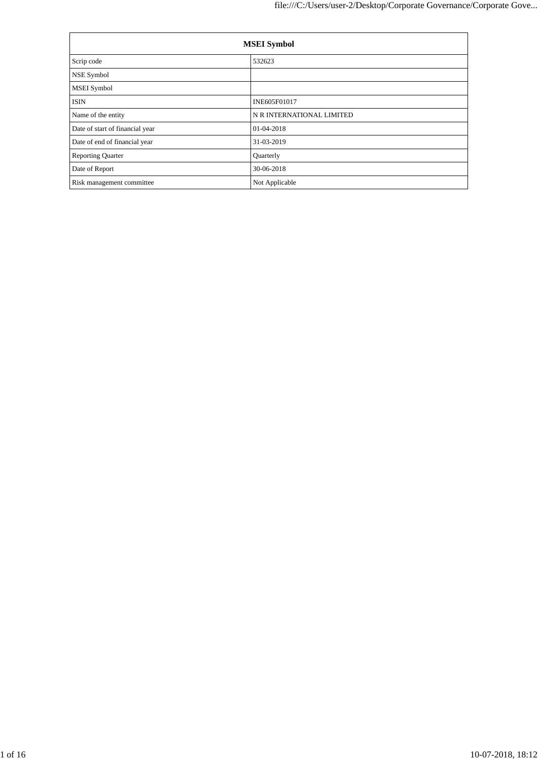| <b>MSEI</b> Symbol              |                           |  |  |  |  |
|---------------------------------|---------------------------|--|--|--|--|
| Scrip code                      | 532623                    |  |  |  |  |
| NSE Symbol                      |                           |  |  |  |  |
| <b>MSEI</b> Symbol              |                           |  |  |  |  |
| <b>ISIN</b>                     | INE605F01017              |  |  |  |  |
| Name of the entity              | N R INTERNATIONAL LIMITED |  |  |  |  |
| Date of start of financial year | 01-04-2018                |  |  |  |  |
| Date of end of financial year   | 31-03-2019                |  |  |  |  |
| <b>Reporting Quarter</b>        | Quarterly                 |  |  |  |  |
| Date of Report                  | 30-06-2018                |  |  |  |  |
| Risk management committee       | Not Applicable            |  |  |  |  |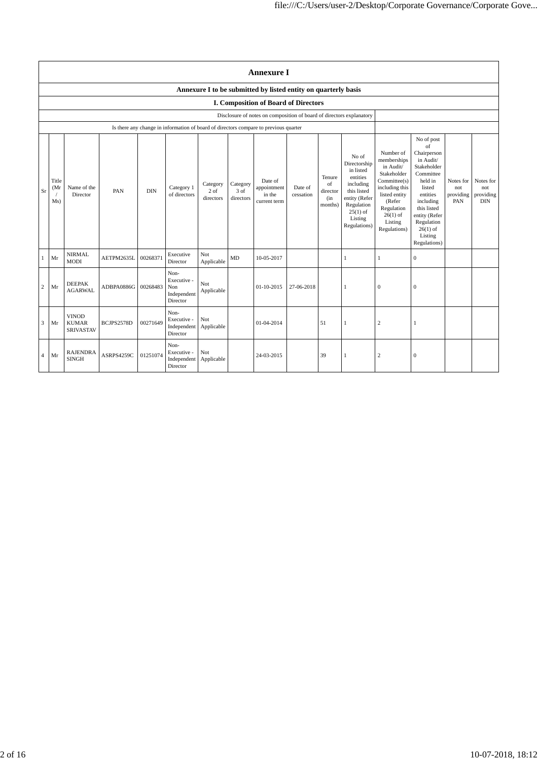|                | <b>Annexure I</b>                                                    |                                                  |            |            |                                                                                      |                               |                               |                                                                |                      |                                                           |                                                                                                                                                    |                                                                                                                                                                          |                                                                                                                                                                                                               |                                      |                                             |
|----------------|----------------------------------------------------------------------|--------------------------------------------------|------------|------------|--------------------------------------------------------------------------------------|-------------------------------|-------------------------------|----------------------------------------------------------------|----------------------|-----------------------------------------------------------|----------------------------------------------------------------------------------------------------------------------------------------------------|--------------------------------------------------------------------------------------------------------------------------------------------------------------------------|---------------------------------------------------------------------------------------------------------------------------------------------------------------------------------------------------------------|--------------------------------------|---------------------------------------------|
|                |                                                                      |                                                  |            |            |                                                                                      |                               |                               | Annexure I to be submitted by listed entity on quarterly basis |                      |                                                           |                                                                                                                                                    |                                                                                                                                                                          |                                                                                                                                                                                                               |                                      |                                             |
|                | I. Composition of Board of Directors                                 |                                                  |            |            |                                                                                      |                               |                               |                                                                |                      |                                                           |                                                                                                                                                    |                                                                                                                                                                          |                                                                                                                                                                                                               |                                      |                                             |
|                | Disclosure of notes on composition of board of directors explanatory |                                                  |            |            |                                                                                      |                               |                               |                                                                |                      |                                                           |                                                                                                                                                    |                                                                                                                                                                          |                                                                                                                                                                                                               |                                      |                                             |
|                |                                                                      |                                                  |            |            | Is there any change in information of board of directors compare to previous quarter |                               |                               |                                                                |                      |                                                           |                                                                                                                                                    |                                                                                                                                                                          |                                                                                                                                                                                                               |                                      |                                             |
| Sr             | Title<br>(Mr)<br>Ms)                                                 | Name of the<br>Director                          | PAN        | <b>DIN</b> | Category 1<br>of directors                                                           | Category<br>2 of<br>directors | Category<br>3 of<br>directors | Date of<br>appointment<br>in the<br>current term               | Date of<br>cessation | Tenure<br>$_{\mathrm{of}}$<br>director<br>(in)<br>months) | No of<br>Directorship<br>in listed<br>entities<br>including<br>this listed<br>entity (Refer<br>Regulation<br>$25(1)$ of<br>Listing<br>Regulations) | Number of<br>memberships<br>in Audit/<br>Stakeholder<br>Committee(s)<br>including this<br>listed entity<br>(Refer<br>Regulation<br>$26(1)$ of<br>Listing<br>Regulations) | No of post<br>of<br>Chairperson<br>in Audit/<br>Stakeholder<br>Committee<br>held in<br>listed<br>entities<br>including<br>this listed<br>entity (Refer<br>Regulation<br>$26(1)$ of<br>Listing<br>Regulations) | Notes for<br>not<br>providing<br>PAN | Notes for<br>not<br>providing<br>$\rm{DIN}$ |
| $\mathbf{1}$   | Mr                                                                   | <b>NIRMAL</b><br><b>MODI</b>                     | AETPM2635L | 00268371   | Executive<br>Director                                                                | Not<br>Applicable             | MD                            | 10-05-2017                                                     |                      |                                                           | 1                                                                                                                                                  | $\mathbf{1}$                                                                                                                                                             | $\boldsymbol{0}$                                                                                                                                                                                              |                                      |                                             |
| $\mathbf{2}$   | Mr                                                                   | <b>DEEPAK</b><br><b>AGARWAL</b>                  | ADBPA0886G | 00268483   | Non-<br>Executive -<br>Non<br>Independent<br>Director                                | Not<br>Applicable             |                               | 01-10-2015                                                     | 27-06-2018           |                                                           |                                                                                                                                                    | $\mathbf{0}$                                                                                                                                                             | $\mathbf{0}$                                                                                                                                                                                                  |                                      |                                             |
| 3              | Mr                                                                   | <b>VINOD</b><br><b>KUMAR</b><br><b>SRIVASTAV</b> | BCJPS2578D | 00271649   | Non-<br>Executive -<br>Independent<br>Director                                       | Not<br>Applicable             |                               | 01-04-2014                                                     |                      | 51                                                        | 1                                                                                                                                                  | $\overline{c}$                                                                                                                                                           | 1                                                                                                                                                                                                             |                                      |                                             |
| $\overline{4}$ | Mr                                                                   | <b>RAJENDRA</b><br><b>SINGH</b>                  | ASRPS4259C | 01251074   | Non-<br>Executive -<br>Independent<br>Director                                       | Not<br>Applicable             |                               | 24-03-2015                                                     |                      | 39                                                        |                                                                                                                                                    | $\overline{c}$                                                                                                                                                           | $\mathbf{0}$                                                                                                                                                                                                  |                                      |                                             |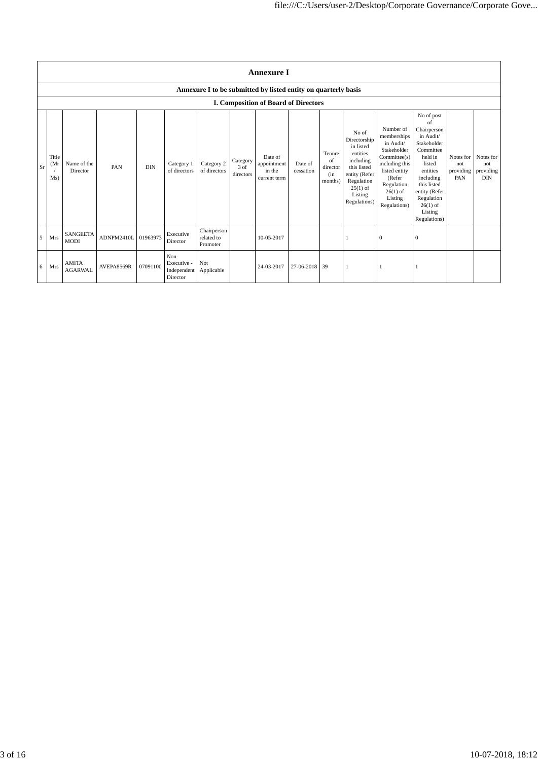|    | <b>Annexure I</b>    |                                |            |            |                                                |                                       |                               |                                                                |                      |                                            |                                                                                                                                                    |                                                                                                                                                                          |                                                                                                                                                                                                               |                                      |                                             |
|----|----------------------|--------------------------------|------------|------------|------------------------------------------------|---------------------------------------|-------------------------------|----------------------------------------------------------------|----------------------|--------------------------------------------|----------------------------------------------------------------------------------------------------------------------------------------------------|--------------------------------------------------------------------------------------------------------------------------------------------------------------------------|---------------------------------------------------------------------------------------------------------------------------------------------------------------------------------------------------------------|--------------------------------------|---------------------------------------------|
|    |                      |                                |            |            |                                                |                                       |                               | Annexure I to be submitted by listed entity on quarterly basis |                      |                                            |                                                                                                                                                    |                                                                                                                                                                          |                                                                                                                                                                                                               |                                      |                                             |
|    |                      |                                |            |            |                                                |                                       |                               | I. Composition of Board of Directors                           |                      |                                            |                                                                                                                                                    |                                                                                                                                                                          |                                                                                                                                                                                                               |                                      |                                             |
| Sr | Title<br>(Mr)<br>Ms) | Name of the<br>Director        | PAN        | <b>DIN</b> | Category 1<br>of directors                     | Category 2<br>of directors            | Category<br>3 of<br>directors | Date of<br>appointment<br>in the<br>current term               | Date of<br>cessation | Tenure<br>of<br>director<br>(in<br>months) | No of<br>Directorship<br>in listed<br>entities<br>including<br>this listed<br>entity (Refer<br>Regulation<br>$25(1)$ of<br>Listing<br>Regulations) | Number of<br>memberships<br>in Audit/<br>Stakeholder<br>Committee(s)<br>including this<br>listed entity<br>(Refer<br>Regulation<br>$26(1)$ of<br>Listing<br>Regulations) | No of post<br>of<br>Chairperson<br>in Audit/<br>Stakeholder<br>Committee<br>held in<br>listed<br>entities<br>including<br>this listed<br>entity (Refer<br>Regulation<br>$26(1)$ of<br>Listing<br>Regulations) | Notes for<br>not<br>providing<br>PAN | Notes for<br>not<br>providing<br><b>DIN</b> |
| 5  | Mrs                  | <b>SANGEETA</b><br><b>MODI</b> | ADNPM2410L | 01963973   | Executive<br>Director                          | Chairperson<br>related to<br>Promoter |                               | 10-05-2017                                                     |                      |                                            |                                                                                                                                                    | $\mathbf{0}$                                                                                                                                                             | $\mathbf{0}$                                                                                                                                                                                                  |                                      |                                             |
| 6  | Mrs                  | <b>AMITA</b><br><b>AGARWAL</b> | AVEPA8569R | 07091100   | Non-<br>Executive -<br>Independent<br>Director | Not<br>Applicable                     |                               | 24-03-2017                                                     | 27-06-2018 39        |                                            |                                                                                                                                                    | 1                                                                                                                                                                        |                                                                                                                                                                                                               |                                      |                                             |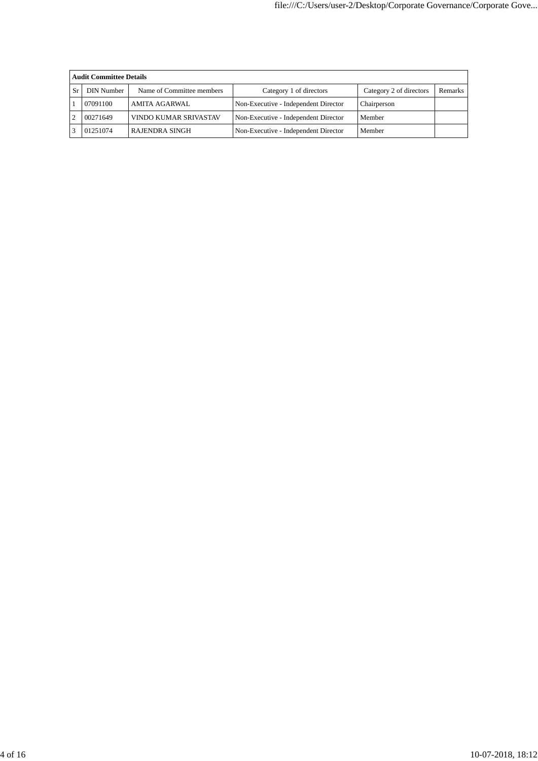|    | <b>Audit Committee Details</b> |                              |                                      |                         |                |  |  |  |  |  |
|----|--------------------------------|------------------------------|--------------------------------------|-------------------------|----------------|--|--|--|--|--|
| Sr | DIN Number                     | Name of Committee members    | Category 1 of directors              | Category 2 of directors | <b>Remarks</b> |  |  |  |  |  |
|    | 07091100                       | <b>AMITA AGARWAL</b>         | Non-Executive - Independent Director | Chairperson             |                |  |  |  |  |  |
|    | 00271649                       | <b>VINDO KUMAR SRIVASTAV</b> | Non-Executive - Independent Director | Member                  |                |  |  |  |  |  |
|    | 01251074                       | RAJENDRA SINGH               | Non-Executive - Independent Director | Member                  |                |  |  |  |  |  |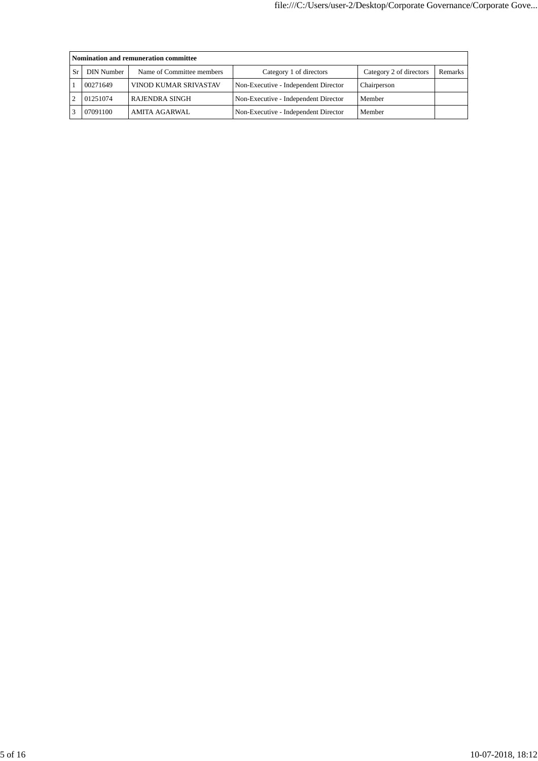|    | Nomination and remuneration committee |                           |                                      |                         |         |  |  |  |  |
|----|---------------------------------------|---------------------------|--------------------------------------|-------------------------|---------|--|--|--|--|
| Sr | DIN Number                            | Name of Committee members | Category 1 of directors              | Category 2 of directors | Remarks |  |  |  |  |
|    | 00271649                              | VINOD KUMAR SRIVASTAV     | Non-Executive - Independent Director | Chairperson             |         |  |  |  |  |
|    | 01251074                              | <b>RAJENDRA SINGH</b>     | Non-Executive - Independent Director | Member                  |         |  |  |  |  |
|    | 07091100                              | AMITA AGARWAL             | Non-Executive - Independent Director | Member                  |         |  |  |  |  |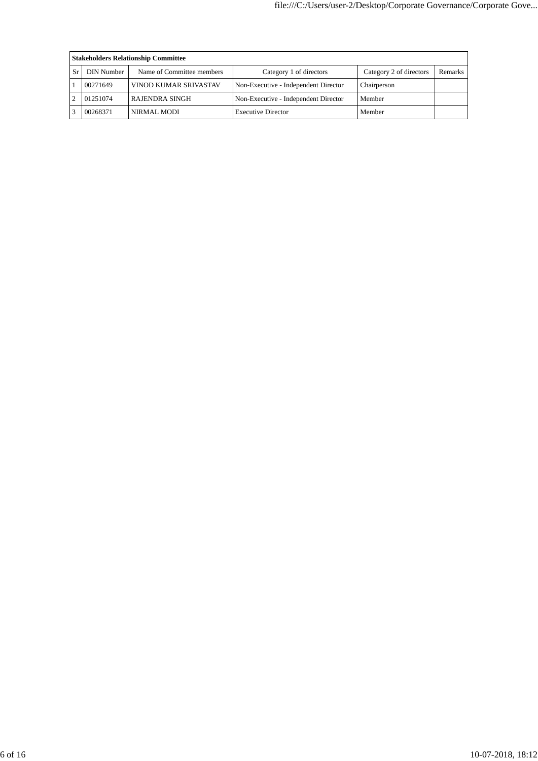| <b>Stakeholders Relationship Committee</b> |                           |                                      |                         |                |  |  |  |  |  |
|--------------------------------------------|---------------------------|--------------------------------------|-------------------------|----------------|--|--|--|--|--|
| DIN Number                                 | Name of Committee members | Category 1 of directors              | Category 2 of directors | <b>Remarks</b> |  |  |  |  |  |
| 00271649                                   | VINOD KUMAR SRIVASTAV     | Non-Executive - Independent Director | Chairperson             |                |  |  |  |  |  |
| 01251074                                   | <b>RAJENDRA SINGH</b>     | Non-Executive - Independent Director | Member                  |                |  |  |  |  |  |
| 00268371                                   | NIRMAL MODI               | <b>Executive Director</b>            | Member                  |                |  |  |  |  |  |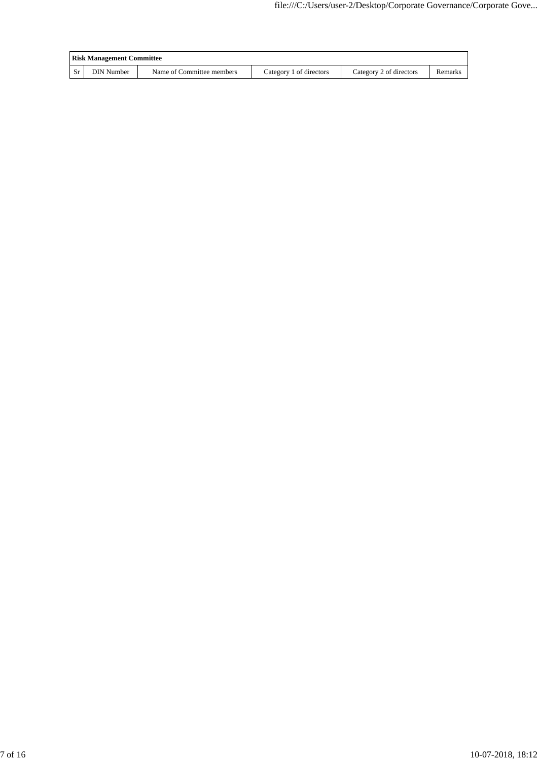| <b>Risk Management Committee</b> |                           |                         |                         |         |  |  |
|----------------------------------|---------------------------|-------------------------|-------------------------|---------|--|--|
| <b>DIN Number</b>                | Name of Committee members | Category 1 of directors | Category 2 of directors | Remarks |  |  |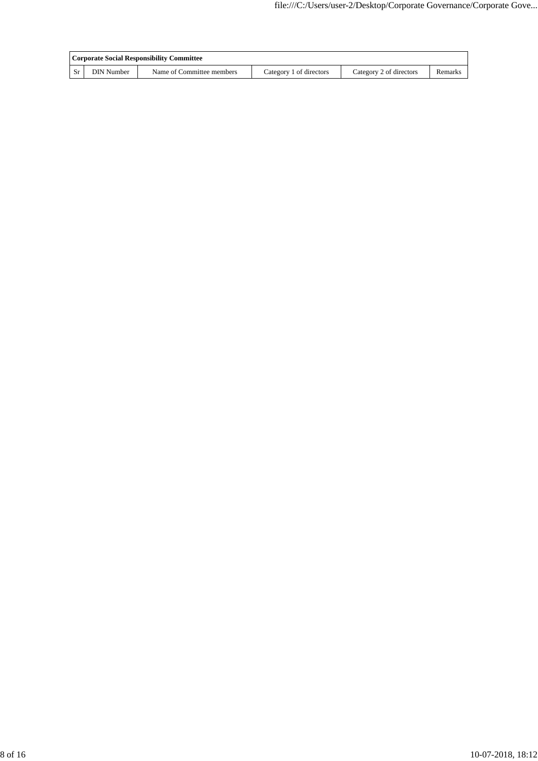| Corporate Social Responsibility Committee |                           |                         |                         |         |  |  |
|-------------------------------------------|---------------------------|-------------------------|-------------------------|---------|--|--|
| <b>DIN Number</b>                         | Name of Committee members | Category 1 of directors | Category 2 of directors | Remarks |  |  |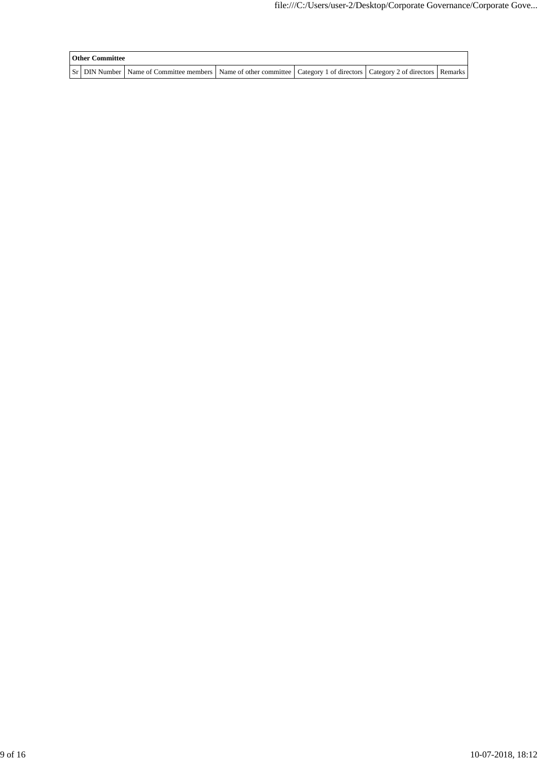| <b>Other Committee</b> |                                                                                                                                     |  |  |
|------------------------|-------------------------------------------------------------------------------------------------------------------------------------|--|--|
|                        | Sr   DIN Number   Name of Committee members   Name of other committee   Category 1 of directors   Category 2 of directors   Remarks |  |  |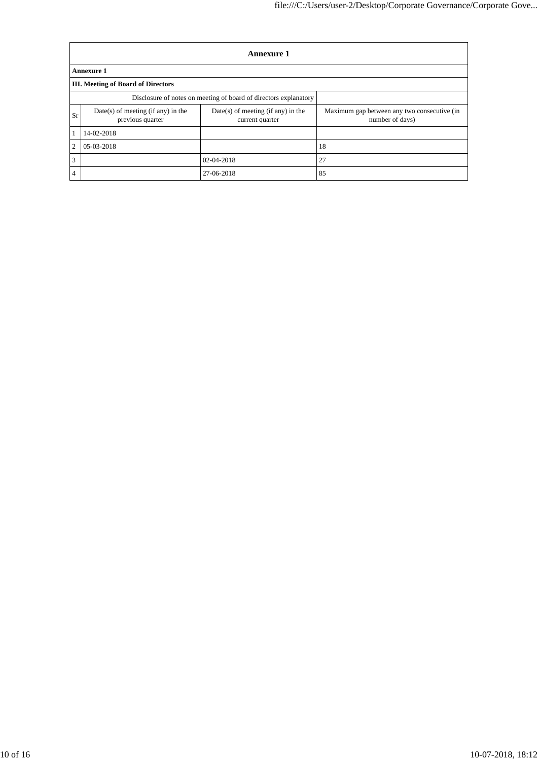|    | <b>Annexure 1</b>                                                |                                                         |                                                                |  |  |  |  |  |
|----|------------------------------------------------------------------|---------------------------------------------------------|----------------------------------------------------------------|--|--|--|--|--|
|    | <b>Annexure 1</b>                                                |                                                         |                                                                |  |  |  |  |  |
|    | <b>III.</b> Meeting of Board of Directors                        |                                                         |                                                                |  |  |  |  |  |
|    | Disclosure of notes on meeting of board of directors explanatory |                                                         |                                                                |  |  |  |  |  |
| Sr | $Date(s)$ of meeting (if any) in the<br>previous quarter         | $Date(s)$ of meeting (if any) in the<br>current quarter | Maximum gap between any two consecutive (in<br>number of days) |  |  |  |  |  |
|    | 14-02-2018                                                       |                                                         |                                                                |  |  |  |  |  |
| 2  | 05-03-2018                                                       |                                                         | 18                                                             |  |  |  |  |  |
| 3  |                                                                  | 02-04-2018                                              | 27                                                             |  |  |  |  |  |
| 4  |                                                                  | 27-06-2018                                              | 85                                                             |  |  |  |  |  |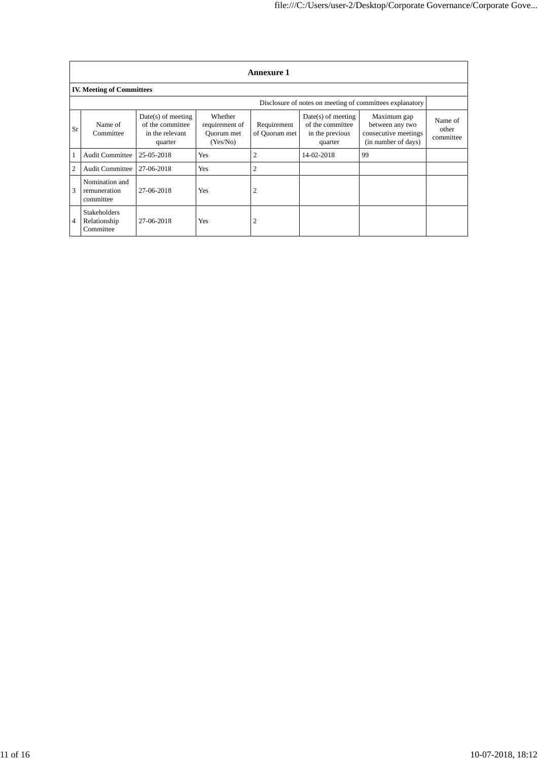|    | <b>Annexure 1</b>                                        |                                                                        |                                                     |                              |                                                                        |                                                                               |                               |  |
|----|----------------------------------------------------------|------------------------------------------------------------------------|-----------------------------------------------------|------------------------------|------------------------------------------------------------------------|-------------------------------------------------------------------------------|-------------------------------|--|
|    | <b>IV. Meeting of Committees</b>                         |                                                                        |                                                     |                              |                                                                        |                                                                               |                               |  |
|    | Disclosure of notes on meeting of committees explanatory |                                                                        |                                                     |                              |                                                                        |                                                                               |                               |  |
| Sr | Name of<br>Committee                                     | $Date(s)$ of meeting<br>of the committee<br>in the relevant<br>quarter | Whether<br>requirement of<br>Ouorum met<br>(Yes/No) | Requirement<br>of Quorum met | $Date(s)$ of meeting<br>of the committee<br>in the previous<br>quarter | Maximum gap<br>between any two<br>consecutive meetings<br>(in number of days) | Name of<br>other<br>committee |  |
|    | <b>Audit Committee</b>                                   | 25-05-2018                                                             | Yes                                                 | $\overline{2}$               | 14-02-2018                                                             | 99                                                                            |                               |  |
| 2  | <b>Audit Committee</b>                                   | 27-06-2018                                                             | <b>Yes</b>                                          | $\overline{2}$               |                                                                        |                                                                               |                               |  |
| 3  | Nomination and<br>remuneration<br>committee              | 27-06-2018                                                             | Yes                                                 | $\overline{2}$               |                                                                        |                                                                               |                               |  |
| 4  | <b>Stakeholders</b><br>Relationship<br>Committee         | 27-06-2018                                                             | Yes                                                 | $\overline{2}$               |                                                                        |                                                                               |                               |  |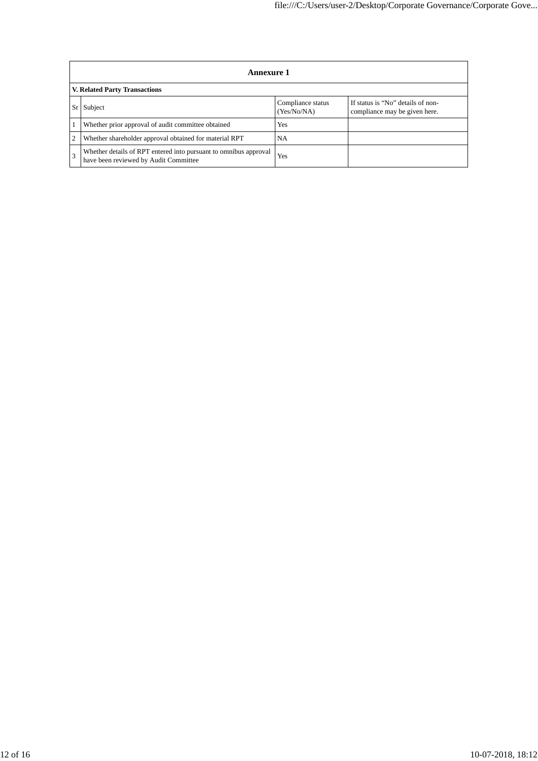| <b>Annexure 1</b>                                                                                         |                                  |                                                                    |  |  |  |  |  |
|-----------------------------------------------------------------------------------------------------------|----------------------------------|--------------------------------------------------------------------|--|--|--|--|--|
| V. Related Party Transactions                                                                             |                                  |                                                                    |  |  |  |  |  |
| Subject                                                                                                   | Compliance status<br>(Yes/No/NA) | If status is "No" details of non-<br>compliance may be given here. |  |  |  |  |  |
| Whether prior approval of audit committee obtained                                                        | <b>Yes</b>                       |                                                                    |  |  |  |  |  |
| Whether shareholder approval obtained for material RPT                                                    | NA                               |                                                                    |  |  |  |  |  |
| Whether details of RPT entered into pursuant to omnibus approval<br>have been reviewed by Audit Committee | Yes                              |                                                                    |  |  |  |  |  |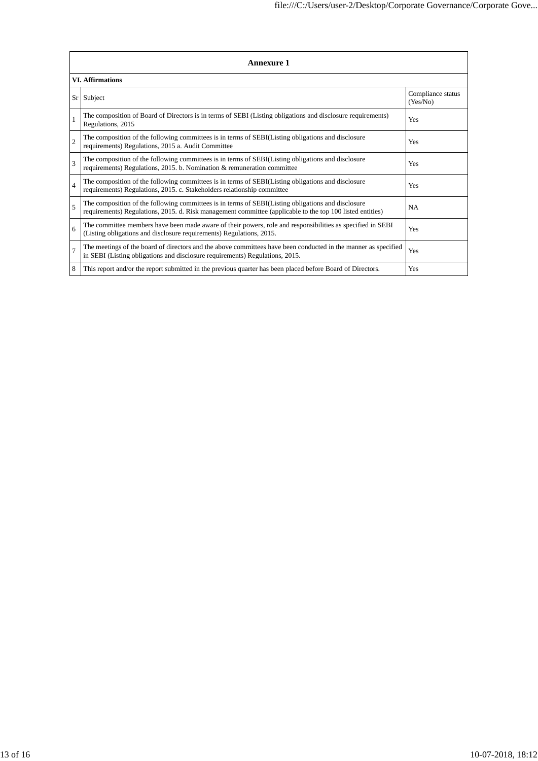| <b>Annexure 1</b>       |                                                                                                                                                                                                                 |                               |  |  |
|-------------------------|-----------------------------------------------------------------------------------------------------------------------------------------------------------------------------------------------------------------|-------------------------------|--|--|
| <b>VI.</b> Affirmations |                                                                                                                                                                                                                 |                               |  |  |
| Sr <sub>1</sub>         | Subject                                                                                                                                                                                                         | Compliance status<br>(Yes/No) |  |  |
|                         | The composition of Board of Directors is in terms of SEBI (Listing obligations and disclosure requirements)<br>Regulations, 2015                                                                                | Yes                           |  |  |
| $\overline{c}$          | The composition of the following committees is in terms of SEBI(Listing obligations and disclosure<br>requirements) Regulations, 2015 a. Audit Committee                                                        | Yes                           |  |  |
| $\mathcal{R}$           | The composition of the following committees is in terms of SEBI(Listing obligations and disclosure<br>requirements) Regulations, 2015. b. Nomination & remuneration committee                                   | Yes                           |  |  |
| $\overline{4}$          | The composition of the following committees is in terms of SEBI(Listing obligations and disclosure<br>requirements) Regulations, 2015. c. Stakeholders relationship committee                                   | Yes                           |  |  |
| $\overline{5}$          | The composition of the following committees is in terms of SEBI(Listing obligations and disclosure<br>requirements) Regulations, 2015. d. Risk management committee (applicable to the top 100 listed entities) | <b>NA</b>                     |  |  |
| 6                       | The committee members have been made aware of their powers, role and responsibilities as specified in SEBI<br>(Listing obligations and disclosure requirements) Regulations, 2015.                              | Yes                           |  |  |
| $\overline{7}$          | The meetings of the board of directors and the above committees have been conducted in the manner as specified<br>in SEBI (Listing obligations and disclosure requirements) Regulations, 2015.                  | Yes                           |  |  |
| 8                       | This report and/or the report submitted in the previous quarter has been placed before Board of Directors.                                                                                                      | Yes                           |  |  |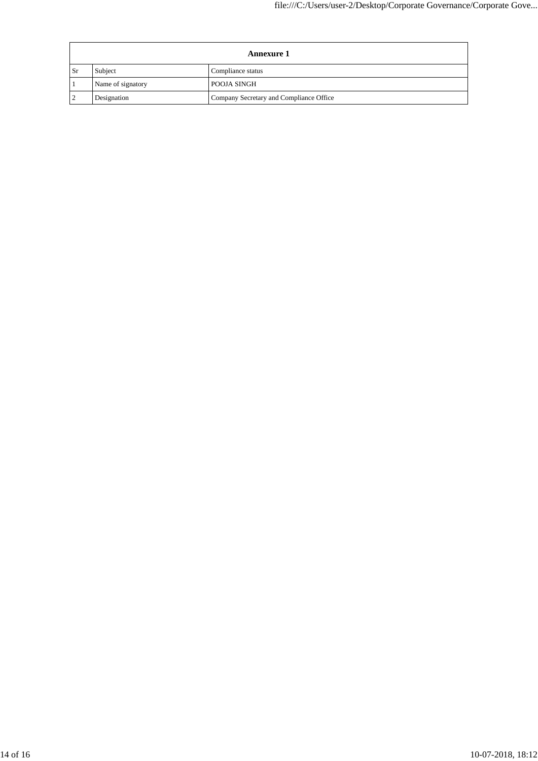|               | <b>Annexure 1</b> |                                         |  |
|---------------|-------------------|-----------------------------------------|--|
| <sub>Sr</sub> | Subject           | Compliance status                       |  |
|               | Name of signatory | POOJA SINGH                             |  |
|               | Designation       | Company Secretary and Compliance Office |  |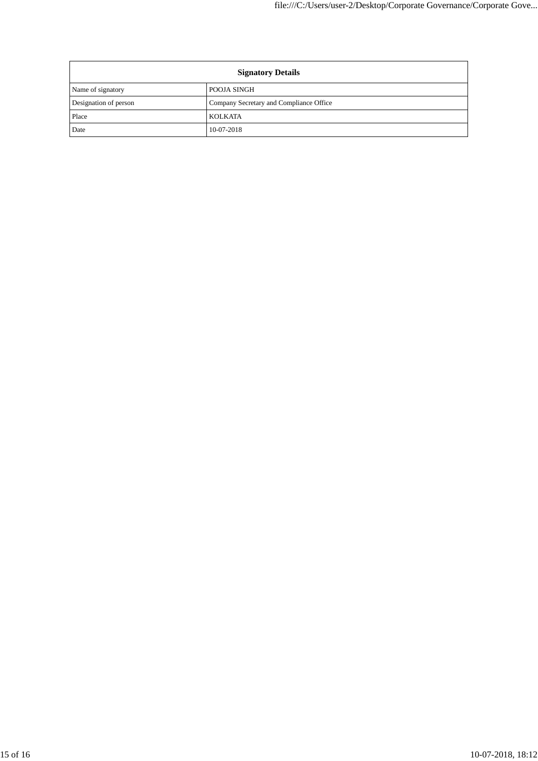| <b>Signatory Details</b> |                                         |  |
|--------------------------|-----------------------------------------|--|
| Name of signatory        | <b>POOJA SINGH</b>                      |  |
| Designation of person    | Company Secretary and Compliance Office |  |
| Place                    | KOLKATA                                 |  |
| Date                     | 10-07-2018                              |  |